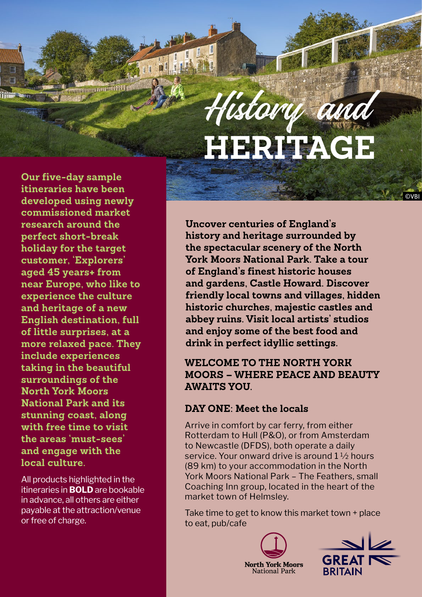

**Our five-day sample itineraries have been developed using newly commissioned market research around the perfect short-break holiday for the target customer, 'Explorers' aged 45 years+ from near Europe, who like to experience the culture and heritage of a new English destination, full of little surprises, at a more relaxed pace. They include experiences taking in the beautiful surroundings of the North York Moors National Park and its stunning coast, along with free time to visit the areas 'must-sees' and engage with the local culture.**

**WINDOWS THE TELEVIS** 

團

All products highlighted in the itineraries in **BOLD** are bookable in advance, all others are either payable at the attraction/venue or free of charge.

**Uncover centuries of England's history and heritage surrounded by the spectacular scenery of the North York Moors National Park. Take a tour of England's finest historic houses and gardens, Castle Howard. Discover friendly local towns and villages, hidden historic churches, majestic castles and abbey ruins. Visit local artists' studios and enjoy some of the best food and drink in perfect idyllic settings.**

## **WELCOME TO THE NORTH YORK MOORS – WHERE PEACE AND BEAUTY AWAITS YOU.**

### **DAY ONE: Meet the locals**

Arrive in comfort by car ferry, from either Rotterdam to Hull (P&O), or from Amsterdam to Newcastle (DFDS), both operate a daily service. Your onward drive is around 1 ½ hours (89 km) to your accommodation in the North York Moors National Park – The Feathers, small Coaching Inn group, located in the heart of the market town of Helmsley.

Take time to get to know this market town + place to eat, pub/cafe





©VBI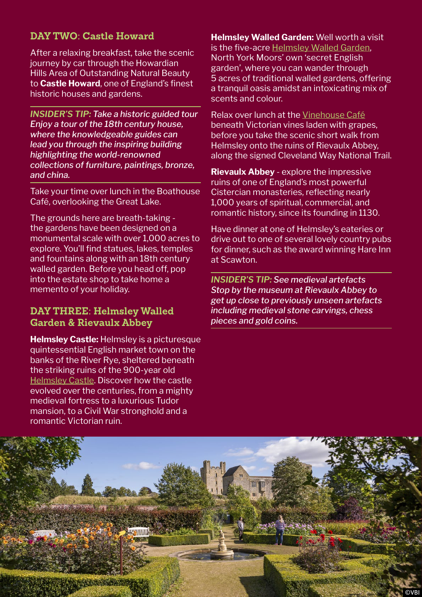## **DAY TWO: Castle Howard**

After a relaxing breakfast, take the scenic journey by car through the Howardian Hills Area of Outstanding Natural Beauty to **Castle Howard**, one of England's finest historic houses and gardens.

*INSIDER'S TIP: Take a historic guided tour Enjoy a tour of the 18th century house, where the knowledgeable guides can lead you through the inspiring building highlighting the world-renowned collections of furniture, paintings, bronze, and china.* 

Take your time over lunch in the Boathouse Café, overlooking the Great Lake.

The grounds here are breath-taking the gardens have been designed on a monumental scale with over 1,000 acres to explore. You'll find statues, lakes, temples and fountains along with an 18th century walled garden. Before you head off, pop into the estate shop to take home a memento of your holiday.

#### **DAY THREE: Helmsley Walled Garden & Rievaulx Abbey**

**Helmsley Castle:** Helmsley is a picturesque quintessential English market town on the banks of the River Rye, sheltered beneath the striking ruins of the 900-year old [Helmsley Castle.](https://www.english-heritage.org.uk/visit/places/helmsley-castle/) Discover how the castle evolved over the centuries, from a mighty medieval fortress to a luxurious Tudor mansion, to a Civil War stronghold and a romantic Victorian ruin.

**Helmsley Walled Garden:** Well worth a visit is the five-acre [Helmsley Walled Garden,](https://www.helmsleywalledgarden.org.uk/) North York Moors' own 'secret English garden', where you can wander through 5 acres of traditional walled gardens, offering a tranquil oasis amidst an intoxicating mix of scents and colour.

Relax over lunch at the [Vinehouse Café](https://helmsleywalledgarden.org.uk/visit/the-vine-house-cafe/) beneath Victorian vines laden with grapes, before you take the scenic short walk from Helmsley onto the ruins of Rievaulx Abbey, along the signed Cleveland Way National Trail.

**Rievaulx Abbey** - explore the impressive ruins of one of England's most powerful Cistercian monasteries, reflecting nearly 1,000 years of spiritual, commercial, and romantic history, since its founding in 1130.

Have dinner at one of Helmsley's eateries or drive out to one of several lovely country pubs for dinner, such as the award winning Hare Inn at Scawton.

*INSIDER'S TIP: See medieval artefacts Stop by the museum at Rievaulx Abbey to get up close to previously unseen artefacts including medieval stone carvings, chess pieces and gold coins.*